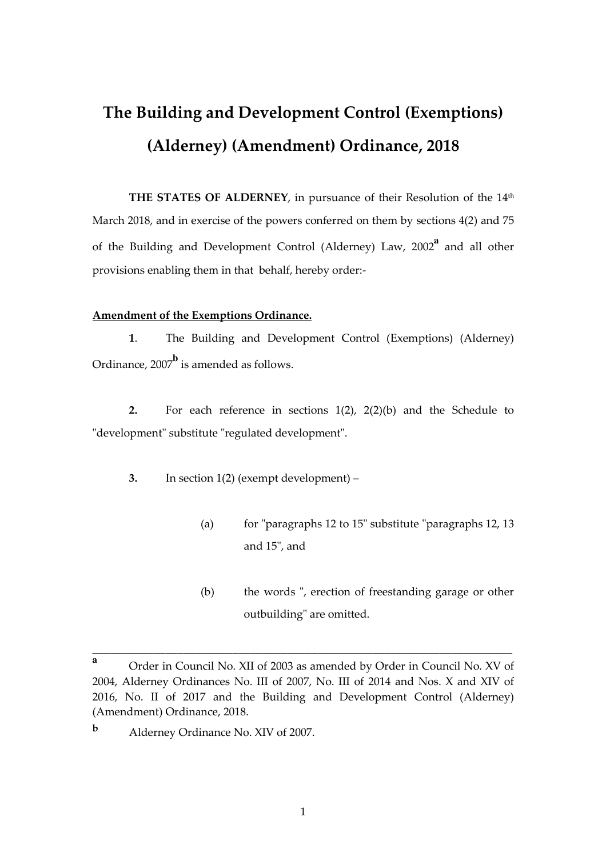# **The Building and Development Control (Exemptions) (Alderney) (Amendment) Ordinance, 2018**

THE STATES OF ALDERNEY, in pursuance of their Resolution of the 14<sup>th</sup> March 2018, and in exercise of the powers conferred on them by sections 4(2) and 75 of the Building and Development Control (Alderney) Law, 2002**<sup>a</sup>** and all other provisions enabling them in that behalf, hereby order:-

#### **Amendment of the Exemptions Ordinance.**

**1**. The Building and Development Control (Exemptions) (Alderney) Ordinance, 2007**<sup>b</sup>** is amended as follows.

**2.** For each reference in sections 1(2), 2(2)(b) and the Schedule to "development" substitute "regulated development".

- **3.** In section 1(2) (exempt development)
	- (a) for "paragraphs 12 to 15" substitute "paragraphs 12, 13 and 15", and
	- (b) the words ", erection of freestanding garage or other outbuilding" are omitted.

 $\mathcal{L}_\text{max} = \frac{1}{2} \sum_{i=1}^n \mathcal{L}_\text{max}(\mathbf{z}_i - \mathbf{z}_i)$ 

**a** Order in Council No. XII of 2003 as amended by Order in Council No. XV of 2004, Alderney Ordinances No. III of 2007, No. III of 2014 and Nos. X and XIV of 2016, No. II of 2017 and the Building and Development Control (Alderney) (Amendment) Ordinance, 2018.

**<sup>b</sup>** Alderney Ordinance No. XIV of 2007.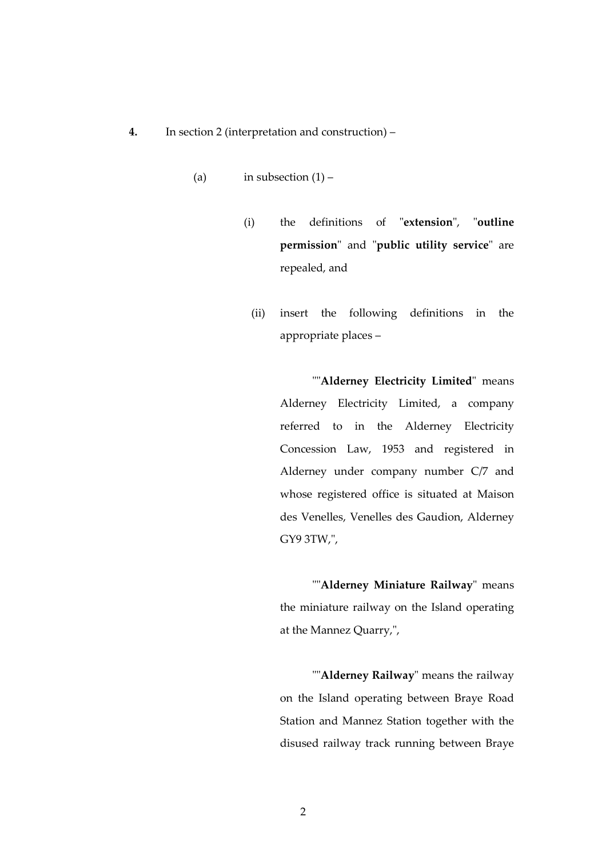- **4.** In section 2 (interpretation and construction)
	- (a) in subsection  $(1)$ 
		- (i) the definitions of "**extension**", "**outline permission**" and "**public utility service**" are repealed, and
			- (ii) insert the following definitions in the appropriate places –

 ""**Alderney Electricity Limited**" means Alderney Electricity Limited, a company referred to in the Alderney Electricity Concession Law, 1953 and registered in Alderney under company number C/7 and whose registered office is situated at Maison des Venelles, Venelles des Gaudion, Alderney GY9 3TW,",

 ""**Alderney Miniature Railway**" means the miniature railway on the Island operating at the Mannez Quarry,",

 ""**Alderney Railway**" means the railway on the Island operating between Braye Road Station and Mannez Station together with the disused railway track running between Braye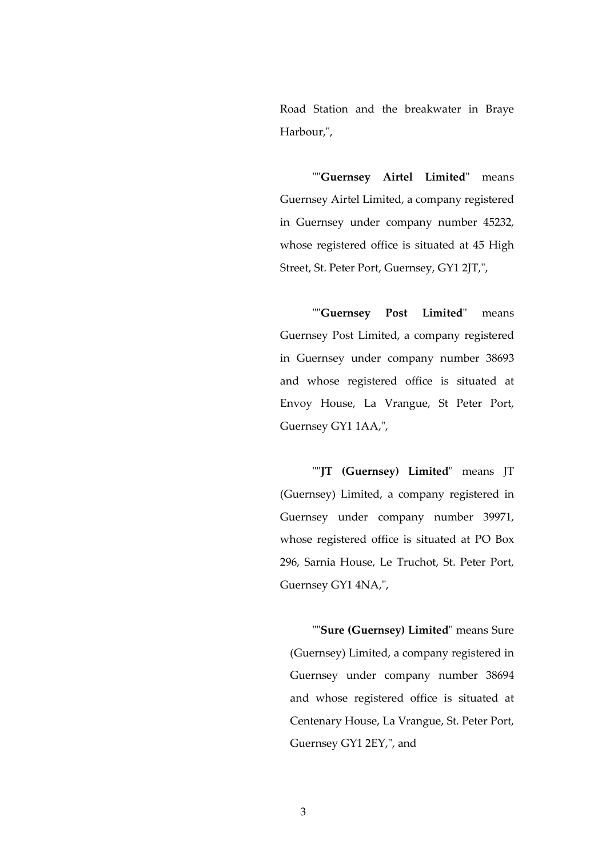Road Station and the breakwater in Braye Harbour,",

 ""**Guernsey Airtel Limited**" means Guernsey Airtel Limited, a company registered in Guernsey under company number 45232, whose registered office is situated at 45 High Street, St. Peter Port, Guernsey, GY1 2JT,",

 ""**Guernsey Post Limited**" means Guernsey Post Limited, a company registered in Guernsey under company number 38693 and whose registered office is situated at Envoy House, La Vrangue, St Peter Port, Guernsey GY1 1AA,",

 ""**JT (Guernsey) Limited**" means JT (Guernsey) Limited, a company registered in Guernsey under company number 39971, whose registered office is situated at PO Box 296, Sarnia House, Le Truchot, St. Peter Port, Guernsey GY1 4NA,",

 ""**Sure (Guernsey) Limited**" means Sure (Guernsey) Limited, a company registered in Guernsey under company number 38694 and whose registered office is situated at Centenary House, La Vrangue, St. Peter Port, Guernsey GY1 2EY,", and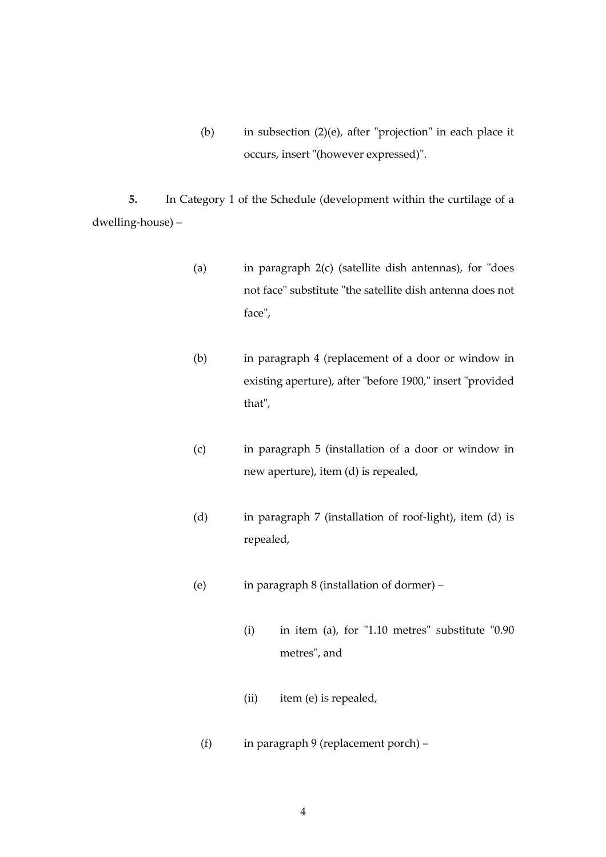(b) in subsection (2)(e), after "projection" in each place it occurs, insert "(however expressed)".

**5.** In Category 1 of the Schedule (development within the curtilage of a dwelling-house) –

- (a) in paragraph 2(c) (satellite dish antennas), for "does not face" substitute "the satellite dish antenna does not face",
- (b) in paragraph 4 (replacement of a door or window in existing aperture), after "before 1900," insert "provided that",
- (c) in paragraph 5 (installation of a door or window in new aperture), item (d) is repealed,
- (d) in paragraph 7 (installation of roof-light), item (d) is repealed,
- (e) in paragraph 8 (installation of dormer)
	- (i) in item (a), for  $"1.10$  metres" substitute  $"0.90$ metres", and
	- (ii) item (e) is repealed,
	- (f) in paragraph 9 (replacement porch) –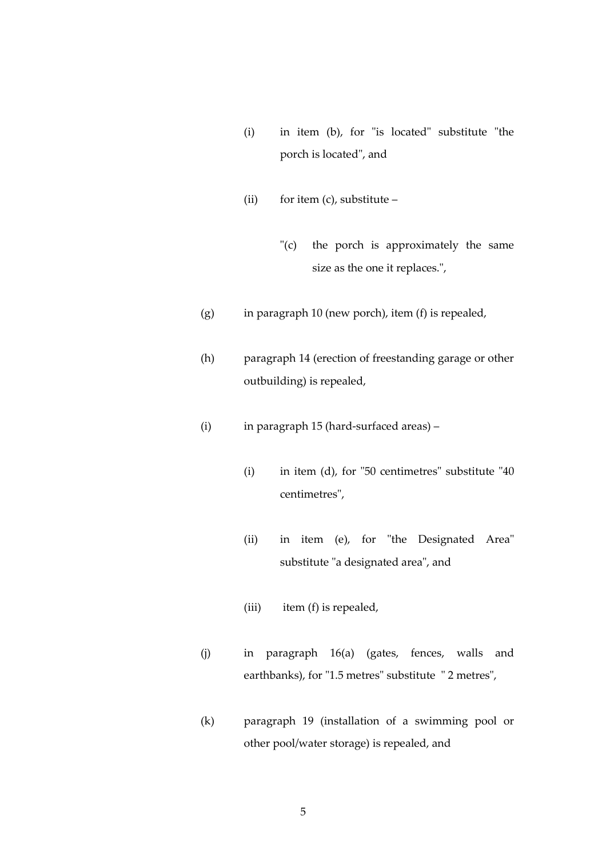- (i) in item (b), for "is located" substitute "the porch is located", and
- (ii) for item  $(c)$ , substitute
	- "(c) the porch is approximately the same size as the one it replaces.",
- (g) in paragraph 10 (new porch), item (f) is repealed,
- (h) paragraph 14 (erection of freestanding garage or other outbuilding) is repealed,
- (i) in paragraph 15 (hard-surfaced areas)
	- (i) in item (d), for "50 centimetres" substitute "40 centimetres",
	- (ii) in item (e), for "the Designated Area" substitute "a designated area", and
	- $(iii)$  item  $(f)$  is repealed,
- (j) in paragraph 16(a) (gates, fences, walls and earthbanks), for "1.5 metres" substitute " 2 metres",
- (k) paragraph 19 (installation of a swimming pool or other pool/water storage) is repealed, and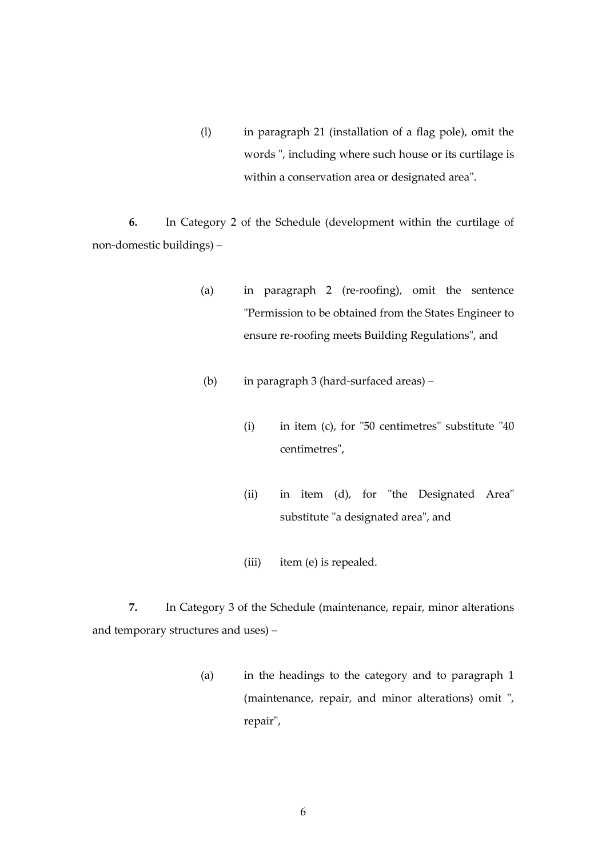(l) in paragraph 21 (installation of a flag pole), omit the words ", including where such house or its curtilage is within a conservation area or designated area".

**6.** In Category 2 of the Schedule (development within the curtilage of non-domestic buildings) –

- (a) in paragraph 2 (re-roofing), omit the sentence "Permission to be obtained from the States Engineer to ensure re-roofing meets Building Regulations", and
- (b) in paragraph 3 (hard-surfaced areas)
	- (i) in item (c), for "50 centimetres" substitute "40 centimetres",
	- (ii) in item (d), for "the Designated Area" substitute "a designated area", and
	- (iii) item (e) is repealed.

**7.** In Category 3 of the Schedule (maintenance, repair, minor alterations and temporary structures and uses) –

> (a) in the headings to the category and to paragraph 1 (maintenance, repair, and minor alterations) omit ", repair",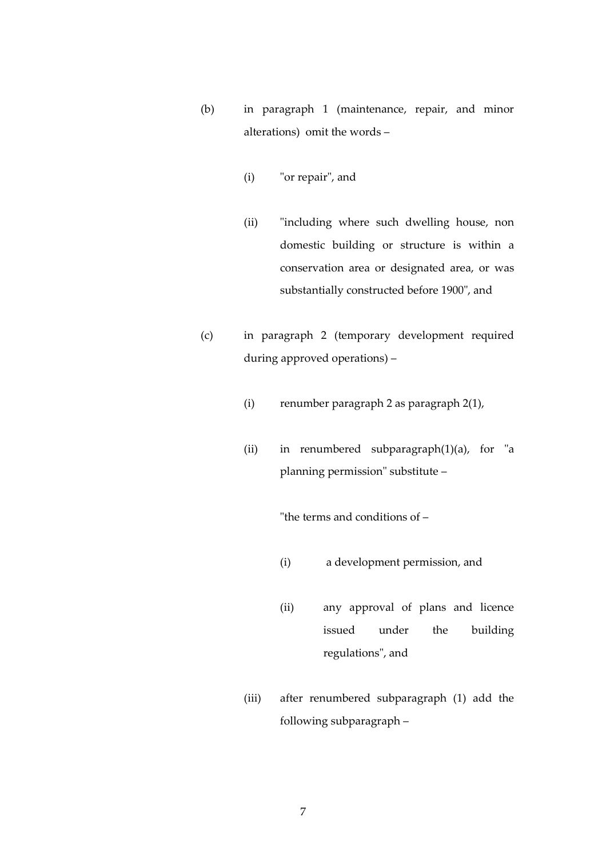- (b) in paragraph 1 (maintenance, repair, and minor alterations) omit the words –
	- (i) "or repair", and
	- (ii) "including where such dwelling house, non domestic building or structure is within a conservation area or designated area, or was substantially constructed before 1900", and
- (c) in paragraph 2 (temporary development required during approved operations) –
	- (i) renumber paragraph 2 as paragraph 2(1),
	- (ii) in renumbered subparagraph(1)(a), for "a planning permission" substitute –

"the terms and conditions of –

- (i) a development permission, and
- (ii) any approval of plans and licence issued under the building regulations", and
- (iii) after renumbered subparagraph (1) add the following subparagraph –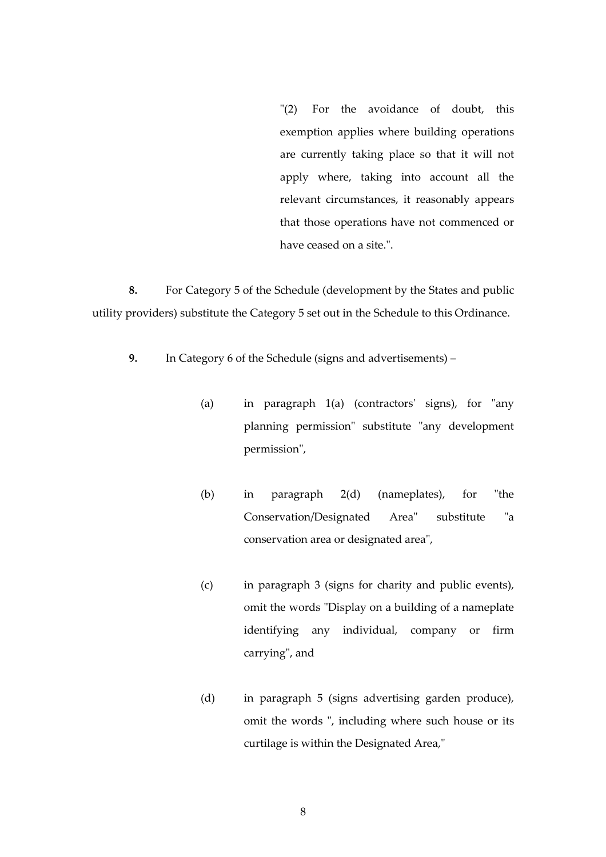"(2) For the avoidance of doubt, this exemption applies where building operations are currently taking place so that it will not apply where, taking into account all the relevant circumstances, it reasonably appears that those operations have not commenced or have ceased on a site.".

**8.** For Category 5 of the Schedule (development by the States and public utility providers) substitute the Category 5 set out in the Schedule to this Ordinance.

- **9.** In Category 6 of the Schedule (signs and advertisements)
	- (a) in paragraph 1(a) (contractors' signs), for "any planning permission" substitute "any development permission",
	- (b) in paragraph 2(d) (nameplates), for "the Conservation/Designated Area" substitute "a conservation area or designated area",
	- (c) in paragraph 3 (signs for charity and public events), omit the words "Display on a building of a nameplate identifying any individual, company or firm carrying", and
	- (d) in paragraph 5 (signs advertising garden produce), omit the words ", including where such house or its curtilage is within the Designated Area,"

8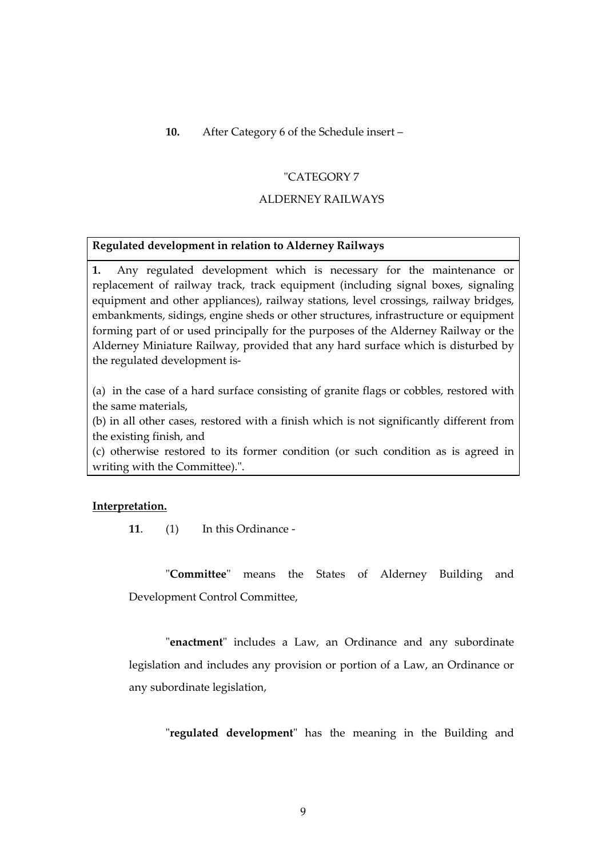#### **10.** After Category 6 of the Schedule insert –

#### "CATEGORY 7

#### ALDERNEY RAILWAYS

#### **Regulated development in relation to Alderney Railways**

**1.** Any regulated development which is necessary for the maintenance or replacement of railway track, track equipment (including signal boxes, signaling equipment and other appliances), railway stations, level crossings, railway bridges, embankments, sidings, engine sheds or other structures, infrastructure or equipment forming part of or used principally for the purposes of the Alderney Railway or the Alderney Miniature Railway, provided that any hard surface which is disturbed by the regulated development is-

(a) in the case of a hard surface consisting of granite flags or cobbles, restored with the same materials,

(b) in all other cases, restored with a finish which is not significantly different from the existing finish, and

(c) otherwise restored to its former condition (or such condition as is agreed in writing with the Committee).".

#### **Interpretation.**

 **11**. (1) In this Ordinance -

"**Committee**" means the States of Alderney Building and Development Control Committee,

"**enactment**" includes a Law, an Ordinance and any subordinate legislation and includes any provision or portion of a Law, an Ordinance or any subordinate legislation,

"**regulated development**" has the meaning in the Building and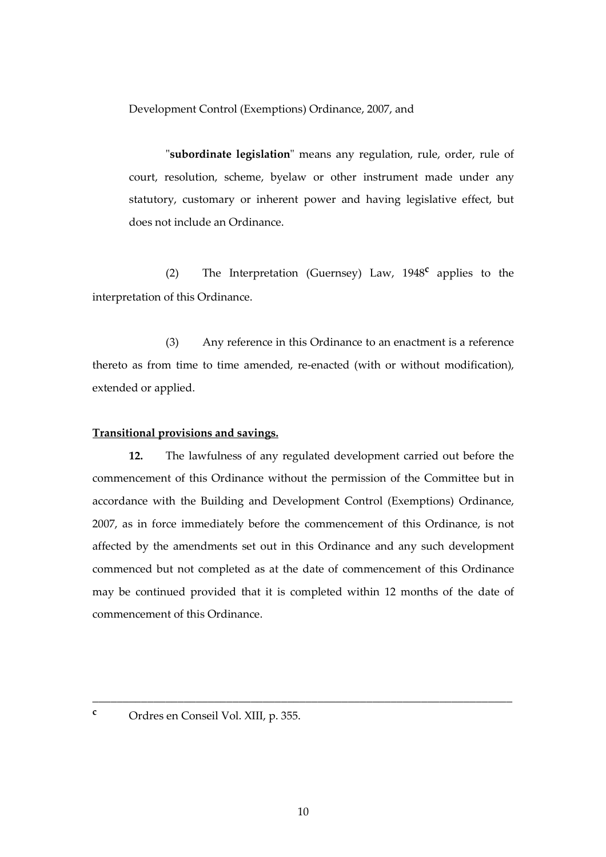Development Control (Exemptions) Ordinance, 2007, and

"**subordinate legislation**" means any regulation, rule, order, rule of court, resolution, scheme, byelaw or other instrument made under any statutory, customary or inherent power and having legislative effect, but does not include an Ordinance.

 (2) The Interpretation (Guernsey) Law, 1948**<sup>c</sup>** applies to the interpretation of this Ordinance.

 (3) Any reference in this Ordinance to an enactment is a reference thereto as from time to time amended, re-enacted (with or without modification), extended or applied.

#### **Transitional provisions and savings.**

**12.** The lawfulness of any regulated development carried out before the commencement of this Ordinance without the permission of the Committee but in accordance with the Building and Development Control (Exemptions) Ordinance, 2007, as in force immediately before the commencement of this Ordinance, is not affected by the amendments set out in this Ordinance and any such development commenced but not completed as at the date of commencement of this Ordinance may be continued provided that it is completed within 12 months of the date of commencement of this Ordinance.

**c** Ordres en Conseil Vol. XIII, p. 355.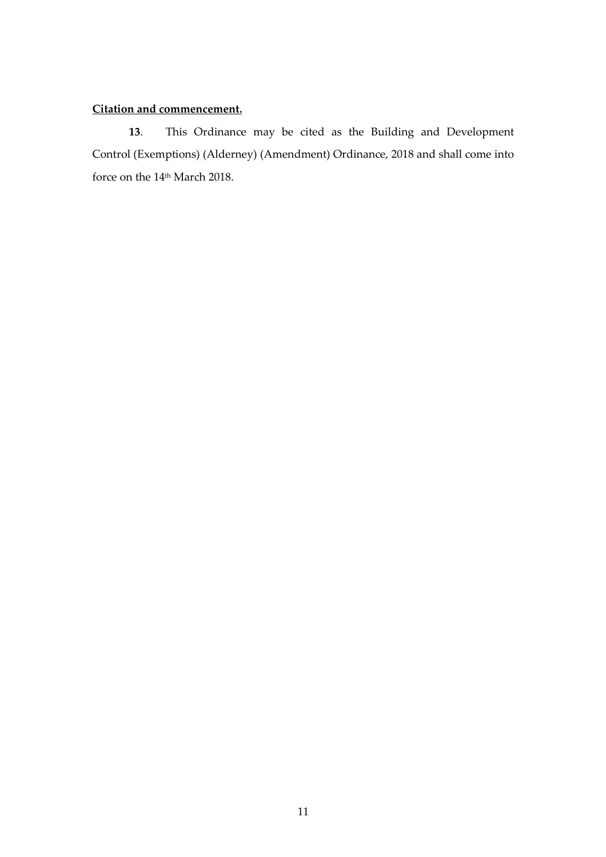## **Citation and commencement.**

**13**. This Ordinance may be cited as the Building and Development Control (Exemptions) (Alderney) (Amendment) Ordinance, 2018 and shall come into force on the 14<sup>th</sup> March 2018.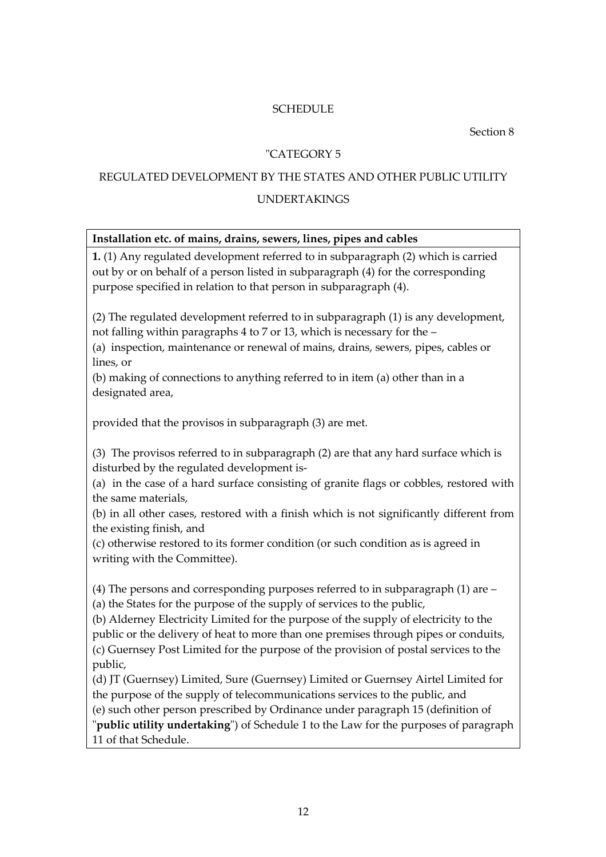#### **SCHEDULE**

Section 8

#### "CATEGORY 5

## REGULATED DEVELOPMENT BY THE STATES AND OTHER PUBLIC UTILITY UNDERTAKINGS

## **Installation etc. of mains, drains, sewers, lines, pipes and cables**

**1.** (1) Any regulated development referred to in subparagraph (2) which is carried out by or on behalf of a person listed in subparagraph (4) for the corresponding purpose specified in relation to that person in subparagraph (4).

(2) The regulated development referred to in subparagraph (1) is any development, not falling within paragraphs 4 to 7 or 13, which is necessary for the –

(a) inspection, maintenance or renewal of mains, drains, sewers, pipes, cables or lines, or

(b) making of connections to anything referred to in item (a) other than in a designated area,

provided that the provisos in subparagraph (3) are met.

(3) The provisos referred to in subparagraph (2) are that any hard surface which is disturbed by the regulated development is-

(a) in the case of a hard surface consisting of granite flags or cobbles, restored with the same materials,

(b) in all other cases, restored with a finish which is not significantly different from the existing finish, and

(c) otherwise restored to its former condition (or such condition as is agreed in writing with the Committee).

(4) The persons and corresponding purposes referred to in subparagraph (1) are – (a) the States for the purpose of the supply of services to the public,

(b) Alderney Electricity Limited for the purpose of the supply of electricity to the public or the delivery of heat to more than one premises through pipes or conduits, (c) Guernsey Post Limited for the purpose of the provision of postal services to the public,

(d) JT (Guernsey) Limited, Sure (Guernsey) Limited or Guernsey Airtel Limited for the purpose of the supply of telecommunications services to the public, and

(e) such other person prescribed by Ordinance under paragraph 15 (definition of "**public utility undertaking**") of Schedule 1 to the Law for the purposes of paragraph 11 of that Schedule.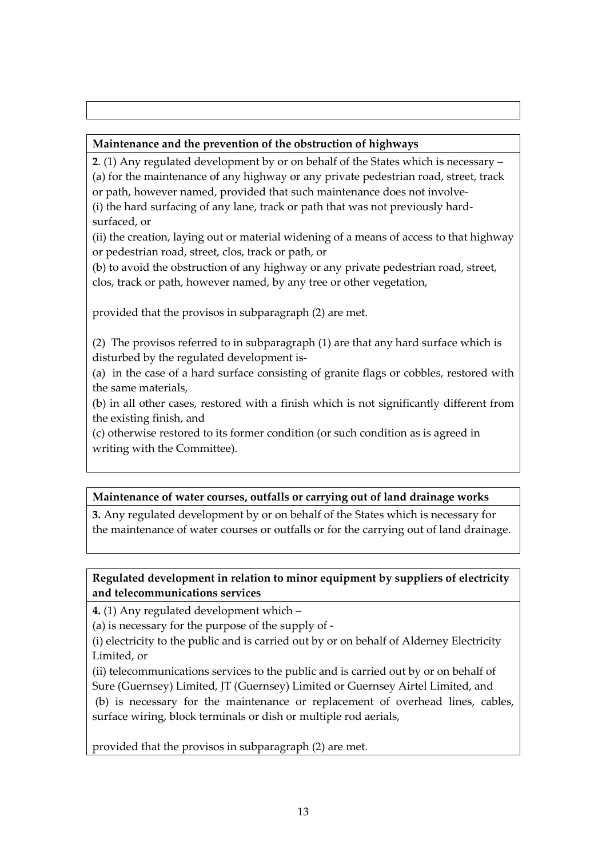## **Maintenance and the prevention of the obstruction of highways**

**2**. (1) Any regulated development by or on behalf of the States which is necessary – (a) for the maintenance of any highway or any private pedestrian road, street, track

or path, however named, provided that such maintenance does not involve-

(i) the hard surfacing of any lane, track or path that was not previously hardsurfaced, or

(ii) the creation, laying out or material widening of a means of access to that highway or pedestrian road, street, clos, track or path, or

(b) to avoid the obstruction of any highway or any private pedestrian road, street, clos, track or path, however named, by any tree or other vegetation,

provided that the provisos in subparagraph (2) are met.

(2) The provisos referred to in subparagraph (1) are that any hard surface which is disturbed by the regulated development is-

(a) in the case of a hard surface consisting of granite flags or cobbles, restored with the same materials,

(b) in all other cases, restored with a finish which is not significantly different from the existing finish, and

(c) otherwise restored to its former condition (or such condition as is agreed in writing with the Committee).

## **Maintenance of water courses, outfalls or carrying out of land drainage works**

**3.** Any regulated development by or on behalf of the States which is necessary for the maintenance of water courses or outfalls or for the carrying out of land drainage.

## **Regulated development in relation to minor equipment by suppliers of electricity and telecommunications services**

**4.** (1) Any regulated development which –

(a) is necessary for the purpose of the supply of -

(i) electricity to the public and is carried out by or on behalf of Alderney Electricity Limited, or

(ii) telecommunications services to the public and is carried out by or on behalf of Sure (Guernsey) Limited, JT (Guernsey) Limited or Guernsey Airtel Limited, and

 (b) is necessary for the maintenance or replacement of overhead lines, cables, surface wiring, block terminals or dish or multiple rod aerials,

provided that the provisos in subparagraph (2) are met.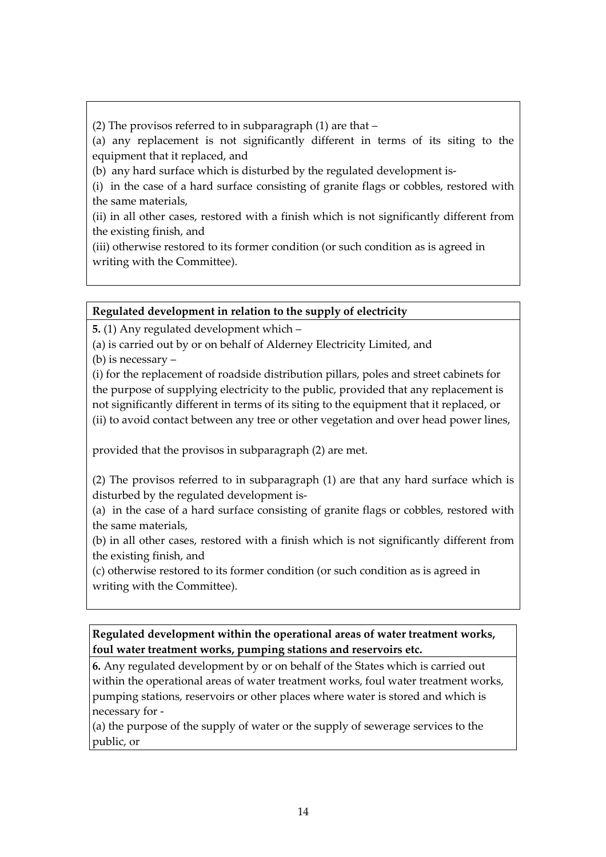(2) The provisos referred to in subparagraph (1) are that –

(a) any replacement is not significantly different in terms of its siting to the equipment that it replaced, and

(b) any hard surface which is disturbed by the regulated development is-

(i) in the case of a hard surface consisting of granite flags or cobbles, restored with the same materials,

(ii) in all other cases, restored with a finish which is not significantly different from the existing finish, and

(iii) otherwise restored to its former condition (or such condition as is agreed in writing with the Committee).

## **Regulated development in relation to the supply of electricity**

**5.** (1) Any regulated development which –

(a) is carried out by or on behalf of Alderney Electricity Limited, and

(b) is necessary –

(i) for the replacement of roadside distribution pillars, poles and street cabinets for the purpose of supplying electricity to the public, provided that any replacement is not significantly different in terms of its siting to the equipment that it replaced, or (ii) to avoid contact between any tree or other vegetation and over head power lines,

provided that the provisos in subparagraph (2) are met.

(2) The provisos referred to in subparagraph (1) are that any hard surface which is disturbed by the regulated development is-

(a) in the case of a hard surface consisting of granite flags or cobbles, restored with the same materials,

(b) in all other cases, restored with a finish which is not significantly different from the existing finish, and

(c) otherwise restored to its former condition (or such condition as is agreed in writing with the Committee).

**Regulated development within the operational areas of water treatment works, foul water treatment works, pumping stations and reservoirs etc.** 

**6.** Any regulated development by or on behalf of the States which is carried out within the operational areas of water treatment works, foul water treatment works, pumping stations, reservoirs or other places where water is stored and which is necessary for -

(a) the purpose of the supply of water or the supply of sewerage services to the public, or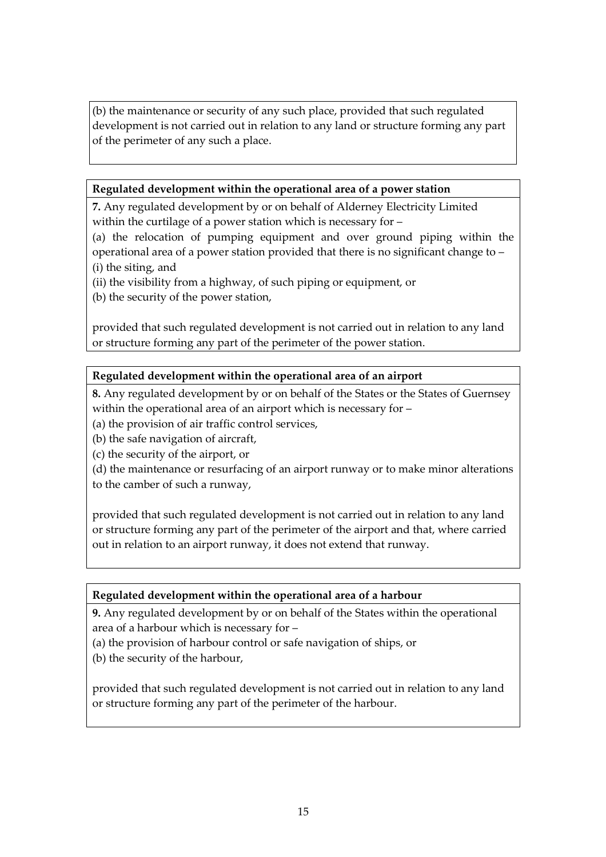(b) the maintenance or security of any such place, provided that such regulated development is not carried out in relation to any land or structure forming any part of the perimeter of any such a place.

## **Regulated development within the operational area of a power station**

**7.** Any regulated development by or on behalf of Alderney Electricity Limited within the curtilage of a power station which is necessary for –

(a) the relocation of pumping equipment and over ground piping within the operational area of a power station provided that there is no significant change to – (i) the siting, and

(ii) the visibility from a highway, of such piping or equipment, or

(b) the security of the power station,

provided that such regulated development is not carried out in relation to any land or structure forming any part of the perimeter of the power station.

## **Regulated development within the operational area of an airport**

**8.** Any regulated development by or on behalf of the States or the States of Guernsey within the operational area of an airport which is necessary for –

(a) the provision of air traffic control services,

(b) the safe navigation of aircraft,

(c) the security of the airport, or

(d) the maintenance or resurfacing of an airport runway or to make minor alterations to the camber of such a runway,

provided that such regulated development is not carried out in relation to any land or structure forming any part of the perimeter of the airport and that, where carried out in relation to an airport runway, it does not extend that runway.

#### **Regulated development within the operational area of a harbour**

**9.** Any regulated development by or on behalf of the States within the operational area of a harbour which is necessary for –

(a) the provision of harbour control or safe navigation of ships, or

(b) the security of the harbour,

provided that such regulated development is not carried out in relation to any land or structure forming any part of the perimeter of the harbour.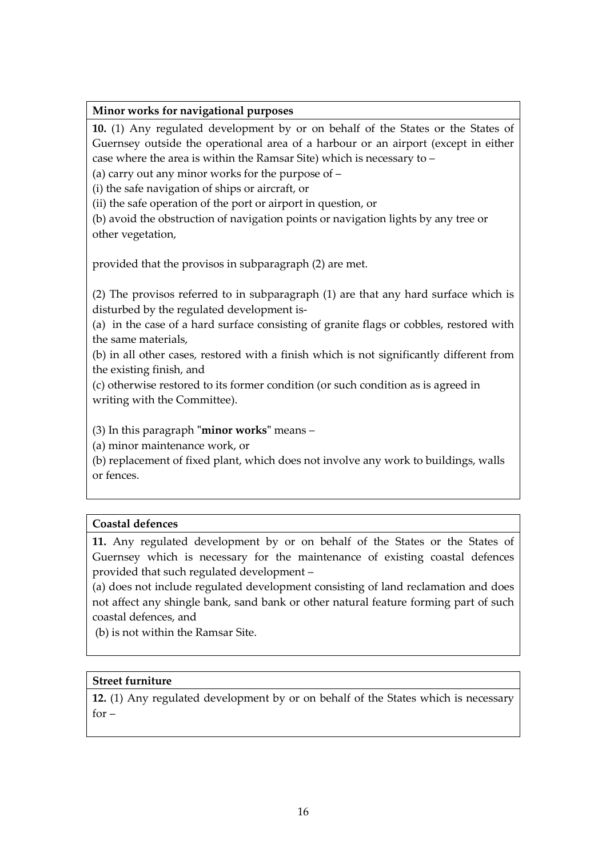#### **Minor works for navigational purposes**

**10.** (1) Any regulated development by or on behalf of the States or the States of Guernsey outside the operational area of a harbour or an airport (except in either case where the area is within the Ramsar Site) which is necessary to –

(a) carry out any minor works for the purpose of –

(i) the safe navigation of ships or aircraft, or

(ii) the safe operation of the port or airport in question, or

(b) avoid the obstruction of navigation points or navigation lights by any tree or other vegetation,

provided that the provisos in subparagraph (2) are met.

(2) The provisos referred to in subparagraph (1) are that any hard surface which is disturbed by the regulated development is-

(a) in the case of a hard surface consisting of granite flags or cobbles, restored with the same materials,

(b) in all other cases, restored with a finish which is not significantly different from the existing finish, and

(c) otherwise restored to its former condition (or such condition as is agreed in writing with the Committee).

(3) In this paragraph **"minor works"** means –

(a) minor maintenance work, or

(b) replacement of fixed plant, which does not involve any work to buildings, walls or fences.

## **Coastal defences**

**11.** Any regulated development by or on behalf of the States or the States of Guernsey which is necessary for the maintenance of existing coastal defences provided that such regulated development –

(a) does not include regulated development consisting of land reclamation and does not affect any shingle bank, sand bank or other natural feature forming part of such coastal defences, and

(b) is not within the Ramsar Site.

## **Street furniture**

**12.** (1) Any regulated development by or on behalf of the States which is necessary for –